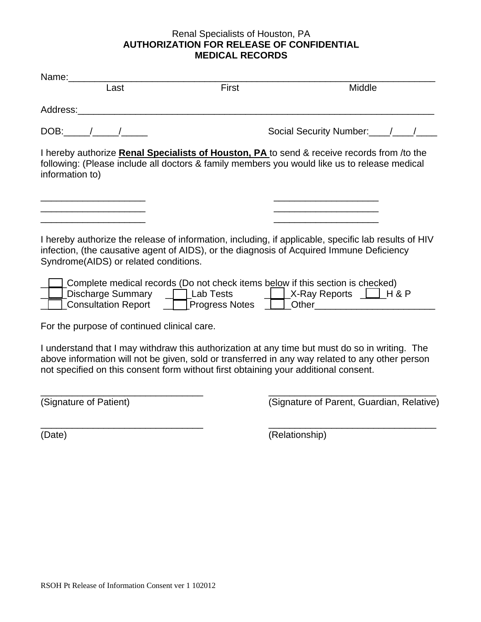## Renal Specialists of Houston, PA **AUTHORIZATION FOR RELEASE OF CONFIDENTIAL MEDICAL RECORDS**

|                                                                                                                                                                                                                                           | Last                                        | First                                                                               | Middle                                                                                                                                                                                            |  |
|-------------------------------------------------------------------------------------------------------------------------------------------------------------------------------------------------------------------------------------------|---------------------------------------------|-------------------------------------------------------------------------------------|---------------------------------------------------------------------------------------------------------------------------------------------------------------------------------------------------|--|
|                                                                                                                                                                                                                                           |                                             |                                                                                     |                                                                                                                                                                                                   |  |
|                                                                                                                                                                                                                                           |                                             |                                                                                     | Social Security Number: //////                                                                                                                                                                    |  |
| I hereby authorize Renal Specialists of Houston, PA to send & receive records from /to the<br>following: (Please include all doctors & family members you would like us to release medical<br>information to)                             |                                             |                                                                                     |                                                                                                                                                                                                   |  |
|                                                                                                                                                                                                                                           |                                             |                                                                                     |                                                                                                                                                                                                   |  |
| I hereby authorize the release of information, including, if applicable, specific lab results of HIV<br>infection, (the causative agent of AIDS), or the diagnosis of Acquired Immune Deficiency<br>Syndrome(AIDS) or related conditions. |                                             |                                                                                     |                                                                                                                                                                                                   |  |
|                                                                                                                                                                                                                                           |                                             | Complete medical records (Do not check items below if this section is checked)      | Consultation Report <u>Telescopeess</u> Notes Telescope Other Consultation Report                                                                                                                 |  |
|                                                                                                                                                                                                                                           | For the purpose of continued clinical care. |                                                                                     |                                                                                                                                                                                                   |  |
|                                                                                                                                                                                                                                           |                                             | not specified on this consent form without first obtaining your additional consent. | I understand that I may withdraw this authorization at any time but must do so in writing. The<br>above information will not be given, sold or transferred in any way related to any other person |  |

\_\_\_\_\_\_\_\_\_\_\_\_\_\_\_\_\_\_\_\_\_\_\_\_\_\_\_\_\_\_\_ \_\_\_\_\_\_\_\_\_\_\_\_\_\_\_\_\_\_\_\_\_\_\_\_\_\_\_\_\_\_\_\_ (Signature of Patient) (Signature of Parent, Guardian, Relative)

\_\_\_\_\_\_\_\_\_\_\_\_\_\_\_\_\_\_\_\_\_\_\_\_\_\_\_\_\_\_\_ \_\_\_\_\_\_\_\_\_\_\_\_\_\_\_\_\_\_\_\_\_\_\_\_\_\_\_\_\_\_\_\_ (Date) (Relationship)